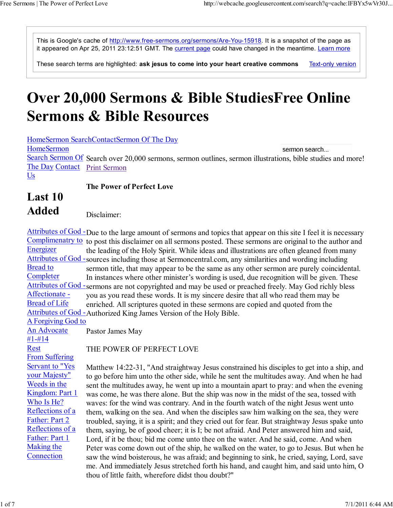This is Google's cache of http://www.free-sermons.org/sermons/Are-You-15918. It is a snapshot of the page as it appeared on Apr 25, 2011 23:12:51 GMT. The current page could have changed in the meantime. Learn more

**Text-only version** These search terms are highlighted: ask jesus to come into your heart creative commons

## Over 20,000 Sermons & Bible StudiesFree Online Sermons & Bible Resources

HomeSermon SearchContactSermon Of The Day **HomeSermon** sermon search... Search Sermon Of Search over 20,000 sermons, sermon outlines, sermon illustrations, bible studies and more! The Day Contact Print Sermon Us

## The Power of Perfect Love

## Last 10 Added

Disclaimer:

Attributes of God - Due to the large amount of sermons and topics that appear on this site I feel it is necessary Complimenatry to to post this disclaimer on all sermons posted. These sermons are original to the author and Energizer Attributes of God - sources including those at Sermoncentral.com, any similarities and wording including Bread to **Completer** Attributes of God - sermons are not copyrighted and may be used or preached freely. May God richly bless Affectionate - Bread of Life Attributes of God - Authorized King James Version of the Holy Bible. the leading of the Holy Spirit. While ideas and illustrations are often gleaned from many sermon title, that may appear to be the same as any other sermon are purely coincidental. In instances where other minister's wording is used, due recognition will be given. These you as you read these words. It is my sincere desire that all who read them may be enriched. All scriptures quoted in these sermons are copied and quoted from the

A Forgiving God to

An Advocate #1-#14 Rest From Suffering Servant to "Yes your Majesty" Weeds in the Kingdom: Part 1 Who Is He? Reflections of a Father: Part 2 Reflections of a Father: Part 1 Making the **Connection** Pastor James May

THE POWER OF PERFECT LOVE

Matthew 14:22-31, "And straightway Jesus constrained his disciples to get into a ship, and to go before him unto the other side, while he sent the multitudes away. And when he had sent the multitudes away, he went up into a mountain apart to pray: and when the evening was come, he was there alone. But the ship was now in the midst of the sea, tossed with waves: for the wind was contrary. And in the fourth watch of the night Jesus went unto them, walking on the sea. And when the disciples saw him walking on the sea, they were troubled, saying, it is a spirit; and they cried out for fear. But straightway Jesus spake unto them, saying, be of good cheer; it is I; be not afraid. And Peter answered him and said, Lord, if it be thou; bid me come unto thee on the water. And he said, come. And when Peter was come down out of the ship, he walked on the water, to go to Jesus. But when he saw the wind boisterous, he was afraid; and beginning to sink, he cried, saying, Lord, save me. And immediately Jesus stretched forth his hand, and caught him, and said unto him, O thou of little faith, wherefore didst thou doubt?"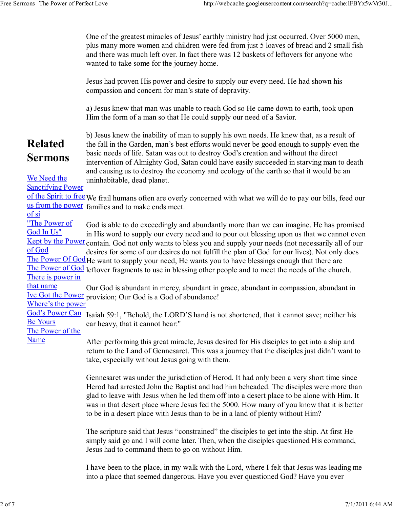One of the greatest miracles of Jesus' earthly ministry had just occurred. Over 5000 men, plus many more women and children were fed from just 5 loaves of bread and 2 small fish and there was much left over. In fact there was 12 baskets of leftovers for anyone who wanted to take some for the journey home.

Jesus had proven His power and desire to supply our every need. He had shown his compassion and concern for man's state of depravity.

a) Jesus knew that man was unable to reach God so He came down to earth, took upon Him the form of a man so that He could supply our need of a Savior.

## Related Sermons

b) Jesus knew the inability of man to supply his own needs. He knew that, as a result of the fall in the Garden, man's best efforts would never be good enough to supply even the basic needs of life. Satan was out to destroy God's creation and without the direct intervention of Almighty God, Satan could have easily succeeded in starving man to death and causing us to destroy the economy and ecology of the earth so that it would be an uninhabitable, dead planet.

We Need the Sanctifying Power

of the Spirit to free We frail humans often are overly concerned with what we will do to pay our bills, feed our us from the power families and to make ends meet.

of si

"The Power of God In Us" Kept by the Power contain. God not only wants to bless you and supply your needs (not necessarily all of our of God The Power Of God He want to supply your need, He wants you to have blessings enough that there are The Power of God leftover fragments to use in blessing other people and to meet the needs of the church. There is power in God is able to do exceedingly and abundantly more than we can imagine. He has promised in His word to supply our every need and to pour out blessing upon us that we cannot even desires for some of our desires do not fulfill the plan of God for our lives). Not only does

that name Ive Got the Power provision; Our God is a God of abundance! Our God is abundant in mercy, abundant in grace, abundant in compassion, abundant in

Where's the power

God's Power Can Isaiah 59:1, "Behold, the LORD'S hand is not shortened, that it cannot save; neither his Be Yours ear heavy, that it cannot hear:"

The Power of the Name

After performing this great miracle, Jesus desired for His disciples to get into a ship and return to the Land of Gennesaret. This was a journey that the disciples just didn't want to take, especially without Jesus going with them.

Gennesaret was under the jurisdiction of Herod. It had only been a very short time since Herod had arrested John the Baptist and had him beheaded. The disciples were more than glad to leave with Jesus when he led them off into a desert place to be alone with Him. It was in that desert place where Jesus fed the 5000. How many of you know that it is better to be in a desert place with Jesus than to be in a land of plenty without Him?

The scripture said that Jesus "constrained" the disciples to get into the ship. At first He simply said go and I will come later. Then, when the disciples questioned His command, Jesus had to command them to go on without Him.

I have been to the place, in my walk with the Lord, where I felt that Jesus was leading me into a place that seemed dangerous. Have you ever questioned God? Have you ever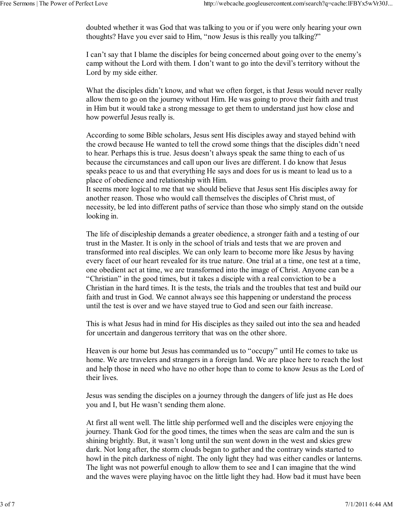doubted whether it was God that was talking to you or if you were only hearing your own thoughts? Have you ever said to Him, "now Jesus is this really you talking?"

I can't say that I blame the disciples for being concerned about going over to the enemy's camp without the Lord with them. I don't want to go into the devil's territory without the Lord by my side either.

What the disciples didn't know, and what we often forget, is that Jesus would never really allow them to go on the journey without Him. He was going to prove their faith and trust in Him but it would take a strong message to get them to understand just how close and how powerful Jesus really is.

According to some Bible scholars, Jesus sent His disciples away and stayed behind with the crowd because He wanted to tell the crowd some things that the disciples didn't need to hear. Perhaps this is true. Jesus doesn't always speak the same thing to each of us because the circumstances and call upon our lives are different. I do know that Jesus speaks peace to us and that everything He says and does for us is meant to lead us to a place of obedience and relationship with Him.

It seems more logical to me that we should believe that Jesus sent His disciples away for another reason. Those who would call themselves the disciples of Christ must, of necessity, be led into different paths of service than those who simply stand on the outside looking in.

The life of discipleship demands a greater obedience, a stronger faith and a testing of our trust in the Master. It is only in the school of trials and tests that we are proven and transformed into real disciples. We can only learn to become more like Jesus by having every facet of our heart revealed for its true nature. One trial at a time, one test at a time, one obedient act at time, we are transformed into the image of Christ. Anyone can be a "Christian" in the good times, but it takes a disciple with a real conviction to be a Christian in the hard times. It is the tests, the trials and the troubles that test and build our faith and trust in God. We cannot always see this happening or understand the process until the test is over and we have stayed true to God and seen our faith increase.

This is what Jesus had in mind for His disciples as they sailed out into the sea and headed for uncertain and dangerous territory that was on the other shore.

Heaven is our home but Jesus has commanded us to "occupy" until He comes to take us home. We are travelers and strangers in a foreign land. We are place here to reach the lost and help those in need who have no other hope than to come to know Jesus as the Lord of their lives.

Jesus was sending the disciples on a journey through the dangers of life just as He does you and I, but He wasn't sending them alone.

At first all went well. The little ship performed well and the disciples were enjoying the journey. Thank God for the good times, the times when the seas are calm and the sun is shining brightly. But, it wasn't long until the sun went down in the west and skies grew dark. Not long after, the storm clouds began to gather and the contrary winds started to howl in the pitch darkness of night. The only light they had was either candles or lanterns. The light was not powerful enough to allow them to see and I can imagine that the wind and the waves were playing havoc on the little light they had. How bad it must have been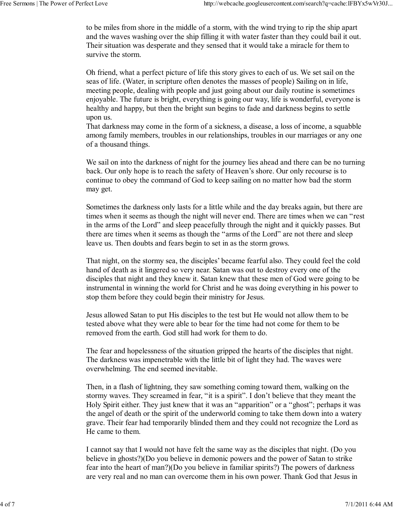to be miles from shore in the middle of a storm, with the wind trying to rip the ship apart and the waves washing over the ship filling it with water faster than they could bail it out. Their situation was desperate and they sensed that it would take a miracle for them to survive the storm.

Oh friend, what a perfect picture of life this story gives to each of us. We set sail on the seas of life. (Water, in scripture often denotes the masses of people) Sailing on in life, meeting people, dealing with people and just going about our daily routine is sometimes enjoyable. The future is bright, everything is going our way, life is wonderful, everyone is healthy and happy, but then the bright sun begins to fade and darkness begins to settle upon us.

That darkness may come in the form of a sickness, a disease, a loss of income, a squabble among family members, troubles in our relationships, troubles in our marriages or any one of a thousand things.

We sail on into the darkness of night for the journey lies ahead and there can be no turning back. Our only hope is to reach the safety of Heaven's shore. Our only recourse is to continue to obey the command of God to keep sailing on no matter how bad the storm may get.

Sometimes the darkness only lasts for a little while and the day breaks again, but there are times when it seems as though the night will never end. There are times when we can "rest in the arms of the Lord" and sleep peacefully through the night and it quickly passes. But there are times when it seems as though the "arms of the Lord" are not there and sleep leave us. Then doubts and fears begin to set in as the storm grows.

That night, on the stormy sea, the disciples' became fearful also. They could feel the cold hand of death as it lingered so very near. Satan was out to destroy every one of the disciples that night and they knew it. Satan knew that these men of God were going to be instrumental in winning the world for Christ and he was doing everything in his power to stop them before they could begin their ministry for Jesus.

Jesus allowed Satan to put His disciples to the test but He would not allow them to be tested above what they were able to bear for the time had not come for them to be removed from the earth. God still had work for them to do.

The fear and hopelessness of the situation gripped the hearts of the disciples that night. The darkness was impenetrable with the little bit of light they had. The waves were overwhelming. The end seemed inevitable.

Then, in a flash of lightning, they saw something coming toward them, walking on the stormy waves. They screamed in fear, "it is a spirit". I don't believe that they meant the Holy Spirit either. They just knew that it was an "apparition" or a "ghost"; perhaps it was the angel of death or the spirit of the underworld coming to take them down into a watery grave. Their fear had temporarily blinded them and they could not recognize the Lord as He came to them.

I cannot say that I would not have felt the same way as the disciples that night. (Do you believe in ghosts?)(Do you believe in demonic powers and the power of Satan to strike fear into the heart of man?)(Do you believe in familiar spirits?) The powers of darkness are very real and no man can overcome them in his own power. Thank God that Jesus in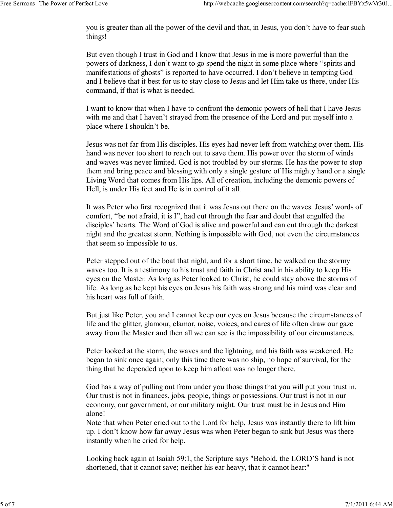you is greater than all the power of the devil and that, in Jesus, you don't have to fear such things!

But even though I trust in God and I know that Jesus in me is more powerful than the powers of darkness, I don't want to go spend the night in some place where "spirits and manifestations of ghosts" is reported to have occurred. I don't believe in tempting God and I believe that it best for us to stay close to Jesus and let Him take us there, under His command, if that is what is needed.

I want to know that when I have to confront the demonic powers of hell that I have Jesus with me and that I haven't strayed from the presence of the Lord and put myself into a place where I shouldn't be.

Jesus was not far from His disciples. His eyes had never left from watching over them. His hand was never too short to reach out to save them. His power over the storm of winds and waves was never limited. God is not troubled by our storms. He has the power to stop them and bring peace and blessing with only a single gesture of His mighty hand or a single Living Word that comes from His lips. All of creation, including the demonic powers of Hell, is under His feet and He is in control of it all.

It was Peter who first recognized that it was Jesus out there on the waves. Jesus' words of comfort, "be not afraid, it is I", had cut through the fear and doubt that engulfed the disciples' hearts. The Word of God is alive and powerful and can cut through the darkest night and the greatest storm. Nothing is impossible with God, not even the circumstances that seem so impossible to us.

Peter stepped out of the boat that night, and for a short time, he walked on the stormy waves too. It is a testimony to his trust and faith in Christ and in his ability to keep His eyes on the Master. As long as Peter looked to Christ, he could stay above the storms of life. As long as he kept his eyes on Jesus his faith was strong and his mind was clear and his heart was full of faith.

But just like Peter, you and I cannot keep our eyes on Jesus because the circumstances of life and the glitter, glamour, clamor, noise, voices, and cares of life often draw our gaze away from the Master and then all we can see is the impossibility of our circumstances.

Peter looked at the storm, the waves and the lightning, and his faith was weakened. He began to sink once again; only this time there was no ship, no hope of survival, for the thing that he depended upon to keep him afloat was no longer there.

God has a way of pulling out from under you those things that you will put your trust in. Our trust is not in finances, jobs, people, things or possessions. Our trust is not in our economy, our government, or our military might. Our trust must be in Jesus and Him alone!

Note that when Peter cried out to the Lord for help, Jesus was instantly there to lift him up. I don't know how far away Jesus was when Peter began to sink but Jesus was there instantly when he cried for help.

Looking back again at Isaiah 59:1, the Scripture says "Behold, the LORD'S hand is not shortened, that it cannot save; neither his ear heavy, that it cannot hear:"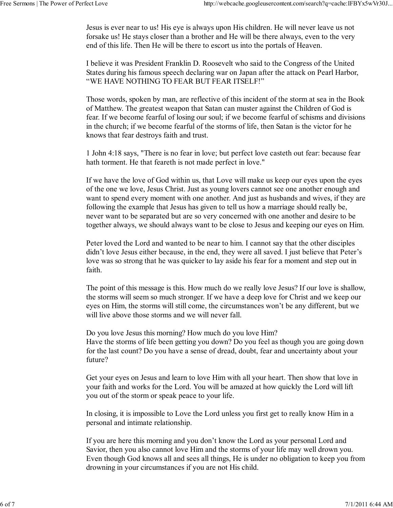Jesus is ever near to us! His eye is always upon His children. He will never leave us not forsake us! He stays closer than a brother and He will be there always, even to the very end of this life. Then He will be there to escort us into the portals of Heaven.

I believe it was President Franklin D. Roosevelt who said to the Congress of the United States during his famous speech declaring war on Japan after the attack on Pearl Harbor, "WE HAVE NOTHING TO FEAR BUT FEAR ITSELF!"

Those words, spoken by man, are reflective of this incident of the storm at sea in the Book of Matthew. The greatest weapon that Satan can muster against the Children of God is fear. If we become fearful of losing our soul; if we become fearful of schisms and divisions in the church; if we become fearful of the storms of life, then Satan is the victor for he knows that fear destroys faith and trust.

1 John 4:18 says, "There is no fear in love; but perfect love casteth out fear: because fear hath torment. He that feareth is not made perfect in love."

If we have the love of God within us, that Love will make us keep our eyes upon the eyes of the one we love, Jesus Christ. Just as young lovers cannot see one another enough and want to spend every moment with one another. And just as husbands and wives, if they are following the example that Jesus has given to tell us how a marriage should really be, never want to be separated but are so very concerned with one another and desire to be together always, we should always want to be close to Jesus and keeping our eyes on Him.

Peter loved the Lord and wanted to be near to him. I cannot say that the other disciples didn't love Jesus either because, in the end, they were all saved. I just believe that Peter's love was so strong that he was quicker to lay aside his fear for a moment and step out in faith.

The point of this message is this. How much do we really love Jesus? If our love is shallow, the storms will seem so much stronger. If we have a deep love for Christ and we keep our eyes on Him, the storms will still come, the circumstances won't be any different, but we will live above those storms and we will never fall.

Do you love Jesus this morning? How much do you love Him? Have the storms of life been getting you down? Do you feel as though you are going down for the last count? Do you have a sense of dread, doubt, fear and uncertainty about your future?

Get your eyes on Jesus and learn to love Him with all your heart. Then show that love in your faith and works for the Lord. You will be amazed at how quickly the Lord will lift you out of the storm or speak peace to your life.

In closing, it is impossible to Love the Lord unless you first get to really know Him in a personal and intimate relationship.

If you are here this morning and you don't know the Lord as your personal Lord and Savior, then you also cannot love Him and the storms of your life may well drown you. Even though God knows all and sees all things, He is under no obligation to keep you from drowning in your circumstances if you are not His child.